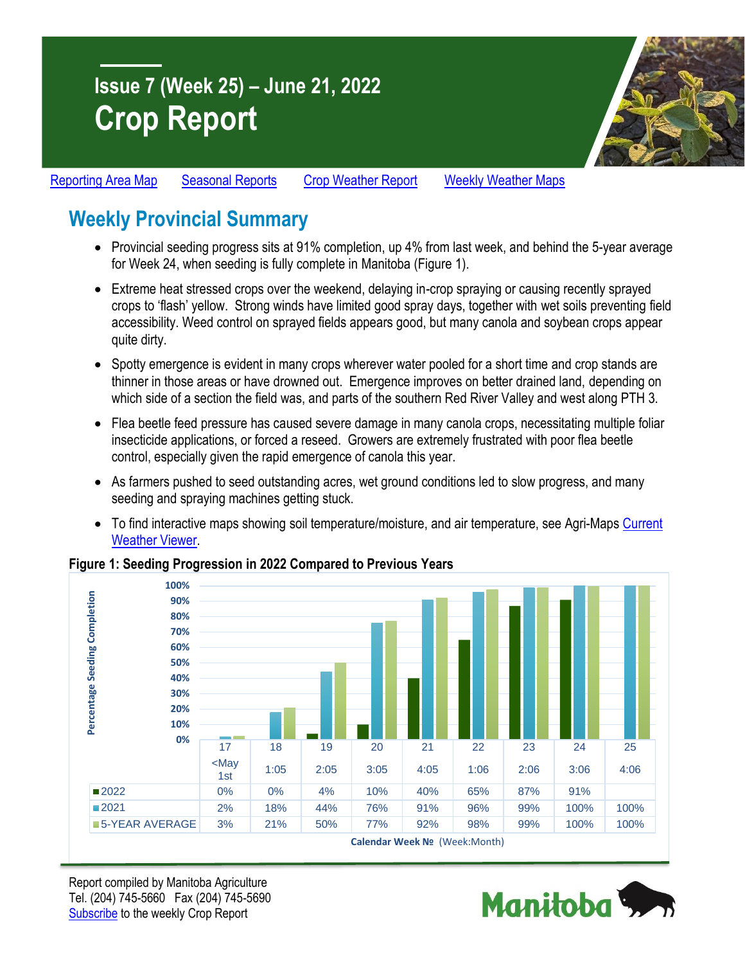# **Issue 7 (Week 25) – June 21, 2022 Crop Report**



[Reporting Area Map](https://www.gov.mb.ca/agriculture/crops/seasonal-reports/pubs/crop-report-map.pdf) [Seasonal Reports](https://www.gov.mb.ca/agriculture/crops/seasonal-reports/index.html) [Crop Weather Report](https://www.gov.mb.ca/agriculture/weather/weather-report-archive.html) [Weekly Weather Maps](https://www.gov.mb.ca/agriculture/weather/weather-conditions-and-reports.html)

# **Weekly Provincial Summary**

- Provincial seeding progress sits at 91% completion, up 4% from last week, and behind the 5-year average for Week 24, when seeding is fully complete in Manitoba (Figure 1).
- Extreme heat stressed crops over the weekend, delaying in-crop spraying or causing recently sprayed crops to 'flash' yellow. Strong winds have limited good spray days, together with wet soils preventing field accessibility. Weed control on sprayed fields appears good, but many canola and soybean crops appear quite dirty.
- Spotty emergence is evident in many crops wherever water pooled for a short time and crop stands are thinner in those areas or have drowned out. Emergence improves on better drained land, depending on which side of a section the field was, and parts of the southern Red River Valley and west along PTH 3.
- Flea beetle feed pressure has caused severe damage in many canola crops, necessitating multiple foliar insecticide applications, or forced a reseed. Growers are extremely frustrated with poor flea beetle control, especially given the rapid emergence of canola this year.
- As farmers pushed to seed outstanding acres, wet ground conditions led to slow progress, and many seeding and spraying machines getting stuck.
- To find interactive maps showing soil temperature/moisture, and air temperature, see Agri-Maps Current [Weather Viewer.](https://www.gov.mb.ca/agriculture/weather/current-weather-viewer.html)

#### **Figure 1: Seeding Progression in 2022 Compared to Previous Years**



Report compiled by Manitoba Agriculture Tel. (204) 745-5660 Fax (204) 745-5690 [Subscribe](https://www.gov.mb.ca/agriculture/crops/seasonal-reports/crop-report-archive/) to the weekly Crop Report

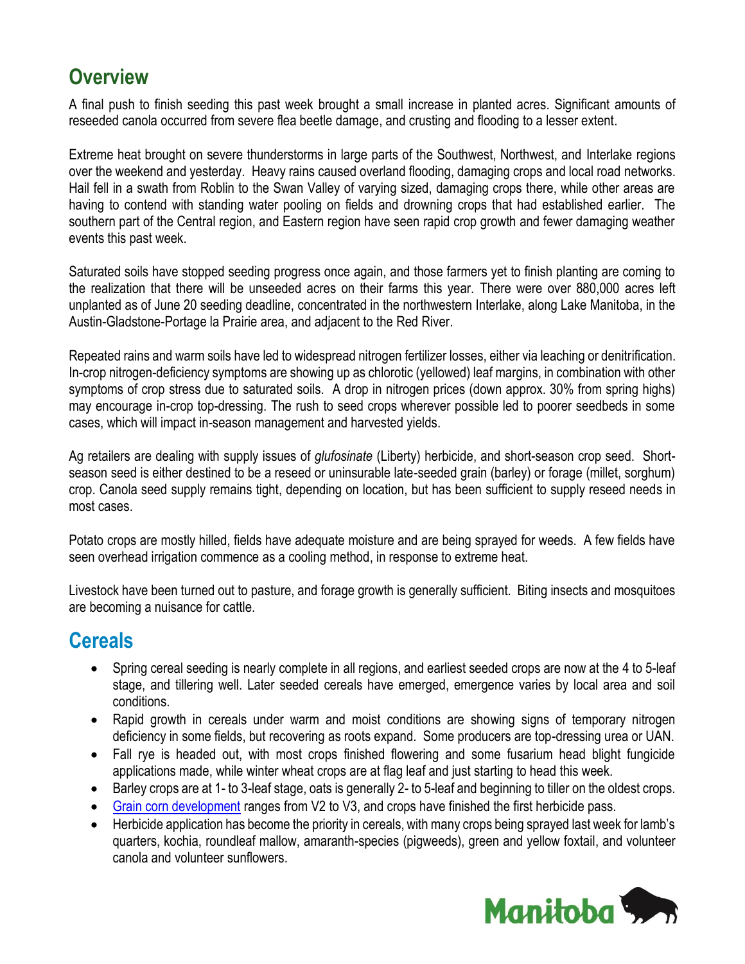## **Overview**

A final push to finish seeding this past week brought a small increase in planted acres. Significant amounts of reseeded canola occurred from severe flea beetle damage, and crusting and flooding to a lesser extent.

Extreme heat brought on severe thunderstorms in large parts of the Southwest, Northwest, and Interlake regions over the weekend and yesterday. Heavy rains caused overland flooding, damaging crops and local road networks. Hail fell in a swath from Roblin to the Swan Valley of varying sized, damaging crops there, while other areas are having to contend with standing water pooling on fields and drowning crops that had established earlier. The southern part of the Central region, and Eastern region have seen rapid crop growth and fewer damaging weather events this past week.

Saturated soils have stopped seeding progress once again, and those farmers yet to finish planting are coming to the realization that there will be unseeded acres on their farms this year. There were over 880,000 acres left unplanted as of June 20 seeding deadline, concentrated in the northwestern Interlake, along Lake Manitoba, in the Austin-Gladstone-Portage la Prairie area, and adjacent to the Red River.

Repeated rains and warm soils have led to widespread nitrogen fertilizer losses, either via leaching or denitrification. In-crop nitrogen-deficiency symptoms are showing up as chlorotic (yellowed) leaf margins, in combination with other symptoms of crop stress due to saturated soils. A drop in nitrogen prices (down approx. 30% from spring highs) may encourage in-crop top-dressing. The rush to seed crops wherever possible led to poorer seedbeds in some cases, which will impact in-season management and harvested yields.

Ag retailers are dealing with supply issues of *glufosinate* (Liberty) herbicide, and short-season crop seed. Shortseason seed is either destined to be a reseed or uninsurable late-seeded grain (barley) or forage (millet, sorghum) crop. Canola seed supply remains tight, depending on location, but has been sufficient to supply reseed needs in most cases.

Potato crops are mostly hilled, fields have adequate moisture and are being sprayed for weeds. A few fields have seen overhead irrigation commence as a cooling method, in response to extreme heat.

Livestock have been turned out to pasture, and forage growth is generally sufficient. Biting insects and mosquitoes are becoming a nuisance for cattle.

### **Cereals**

- Spring cereal seeding is nearly complete in all regions, and earliest seeded crops are now at the 4 to 5-leaf stage, and tillering well. Later seeded cereals have emerged, emergence varies by local area and soil conditions.
- Rapid growth in cereals under warm and moist conditions are showing signs of temporary nitrogen deficiency in some fields, but recovering as roots expand. Some producers are top-dressing urea or UAN.
- Fall rye is headed out, with most crops finished flowering and some fusarium head blight fungicide applications made, while winter wheat crops are at flag leaf and just starting to head this week.
- Barley crops are at 1- to 3-leaf stage, oats is generally 2- to 5-leaf and beginning to tiller on the oldest crops.
- [Grain corn development](https://www.gov.mb.ca/agriculture/crops/seasonal-reports/pubs/staging-corn.pdf) ranges from V2 to V3, and crops have finished the first herbicide pass.
- Herbicide application has become the priority in cereals, with many crops being sprayed last week for lamb's quarters, kochia, roundleaf mallow, amaranth-species (pigweeds), green and yellow foxtail, and volunteer canola and volunteer sunflowers.

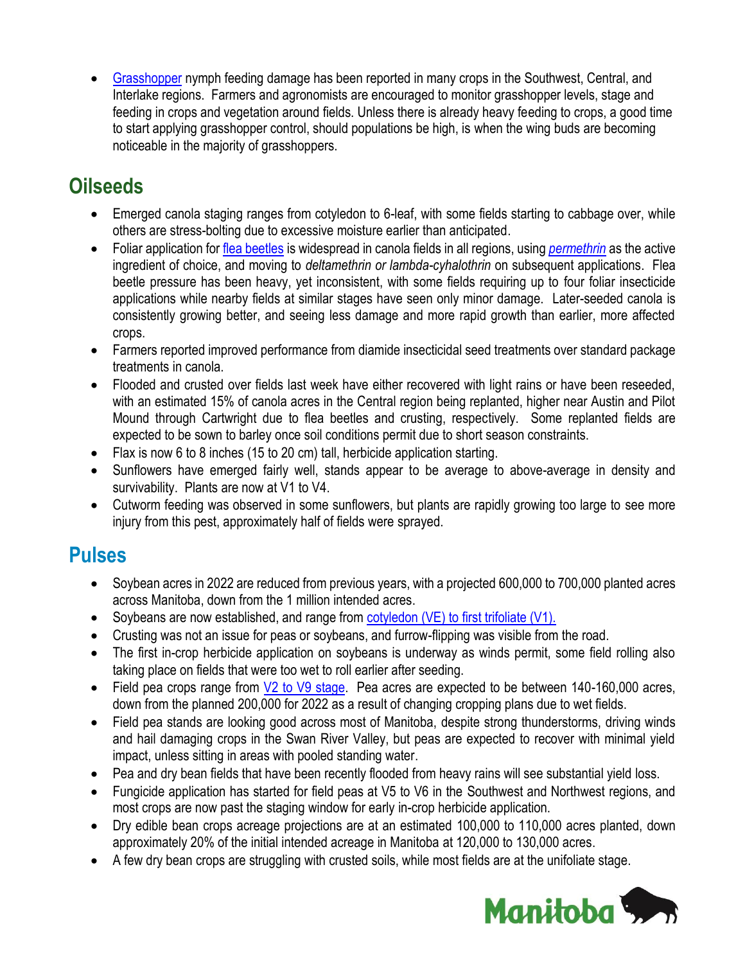[Grasshopper](https://www.gov.mb.ca/agriculture/crops/insects/pubs/grasshoppers-factsheet-revised-january2022.pdf) nymph feeding damage has been reported in many crops in the Southwest, Central, and Interlake regions. Farmers and agronomists are encouraged to monitor grasshopper levels, stage and feeding in crops and vegetation around fields. Unless there is already heavy feeding to crops, a good time to start applying grasshopper control, should populations be high, is when the wing buds are becoming noticeable in the majority of grasshoppers.

# **Oilseeds**

- Emerged canola staging ranges from cotyledon to 6-leaf, with some fields starting to cabbage over, while others are stress-bolting due to excessive moisture earlier than anticipated.
- Foliar application for [flea beetles](https://www.gov.mb.ca/agriculture/crops/insects/flea-beetles-canola-mustard.html) is widespread in canola fields in all regions, using *[permethrin](https://www.manitoba.ca/agriculture/crops/guides-and-publications/pubs/insect-guide-crop-protection-2022.pdf)* as the active ingredient of choice, and moving to *deltamethrin or lambda-cyhalothrin* on subsequent applications. Flea beetle pressure has been heavy, yet inconsistent, with some fields requiring up to four foliar insecticide applications while nearby fields at similar stages have seen only minor damage. Later-seeded canola is consistently growing better, and seeing less damage and more rapid growth than earlier, more affected crops.
- Farmers reported improved performance from diamide insecticidal seed treatments over standard package treatments in canola.
- Flooded and crusted over fields last week have either recovered with light rains or have been reseeded, with an estimated 15% of canola acres in the Central region being replanted, higher near Austin and Pilot Mound through Cartwright due to flea beetles and crusting, respectively. Some replanted fields are expected to be sown to barley once soil conditions permit due to short season constraints.
- Flax is now 6 to 8 inches (15 to 20 cm) tall, herbicide application starting.
- Sunflowers have emerged fairly well, stands appear to be average to above-average in density and survivability. Plants are now at V1 to V4.
- Cutworm feeding was observed in some sunflowers, but plants are rapidly growing too large to see more injury from this pest, approximately half of fields were sprayed.

### **Pulses**

- Soybean acres in 2022 are reduced from previous years, with a projected 600,000 to 700,000 planted acres across Manitoba, down from the 1 million intended acres.
- Soybeans are now established, and range from [cotyledon \(VE\) to first trifoliate \(V1\).](https://www.manitobapulse.ca/wp-content/uploads/2015/03/Soybean-GROWTH-STAGING-Guide_June-2018_WR.pdf)
- Crusting was not an issue for peas or soybeans, and furrow-flipping was visible from the road.
- The first in-crop herbicide application on soybeans is underway as winds permit, some field rolling also taking place on fields that were too wet to roll earlier after seeding.
- Field pea crops range from  $V2$  to V9 [stage.](https://www.manitobapulse.ca/wp-content/uploads/2018/10/Field-Pea-GROWTH-STAGING-GUIDE-_WR.pdf) Pea acres are expected to be between 140-160,000 acres, down from the planned 200,000 for 2022 as a result of changing cropping plans due to wet fields.
- Field pea stands are looking good across most of Manitoba, despite strong thunderstorms, driving winds and hail damaging crops in the Swan River Valley, but peas are expected to recover with minimal yield impact, unless sitting in areas with pooled standing water.
- Pea and dry bean fields that have been recently flooded from heavy rains will see substantial yield loss.
- Fungicide application has started for field peas at V5 to V6 in the Southwest and Northwest regions, and most crops are now past the staging window for early in-crop herbicide application.
- Dry edible bean crops acreage projections are at an estimated 100,000 to 110,000 acres planted, down approximately 20% of the initial intended acreage in Manitoba at 120,000 to 130,000 acres.
- A few dry bean crops are struggling with crusted soils, while most fields are at the unifoliate stage.

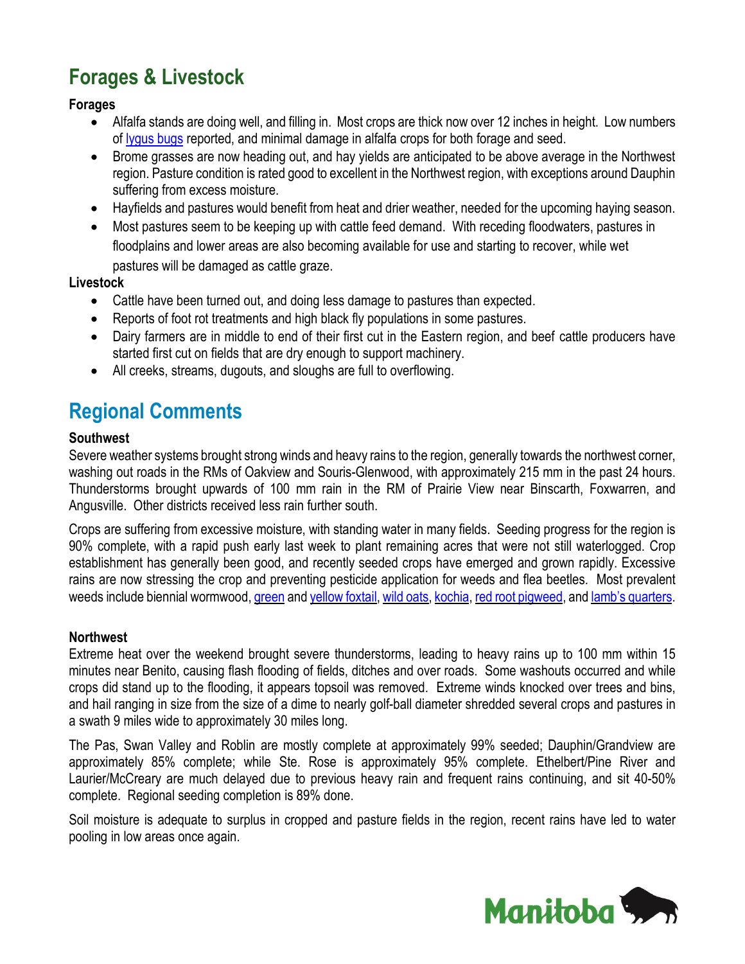# **Forages & Livestock**

#### **Forages**

- Alfalfa stands are doing well, and filling in. Most crops are thick now over 12 inches in height. Low numbers of [lygus bugs](https://www.gov.mb.ca/agriculture/crops/insects/pubs/lygus-bugs-factsheet3-revised-february2022.pdf) reported, and minimal damage in alfalfa crops for both forage and seed.
- Brome grasses are now heading out, and hay yields are anticipated to be above average in the Northwest region. Pasture condition is rated good to excellent in the Northwest region, with exceptions around Dauphin suffering from excess moisture.
- Hayfields and pastures would benefit from heat and drier weather, needed for the upcoming haying season.
- Most pastures seem to be keeping up with cattle feed demand. With receding floodwaters, pastures in floodplains and lower areas are also becoming available for use and starting to recover, while wet pastures will be damaged as cattle graze.

#### **Livestock**

- Cattle have been turned out, and doing less damage to pastures than expected.
- Reports of foot rot treatments and high black fly populations in some pastures.
- Dairy farmers are in middle to end of their first cut in the Eastern region, and beef cattle producers have started first cut on fields that are dry enough to support machinery.
- All creeks, streams, dugouts, and sloughs are full to overflowing.

## **Regional Comments**

#### **Southwest**

Severe weather systems brought strong winds and heavy rains to the region, generally towards the northwest corner, washing out roads in the RMs of Oakview and Souris-Glenwood, with approximately 215 mm in the past 24 hours. Thunderstorms brought upwards of 100 mm rain in the RM of Prairie View near Binscarth, Foxwarren, and Angusville. Other districts received less rain further south.

Crops are suffering from excessive moisture, with standing water in many fields. Seeding progress for the region is 90% complete, with a rapid push early last week to plant remaining acres that were not still waterlogged. Crop establishment has generally been good, and recently seeded crops have emerged and grown rapidly. Excessive rains are now stressing the crop and preventing pesticide application for weeds and flea beetles. Most prevalent weeds include biennial wormwood, [green](https://www.gov.mb.ca/agriculture/crops/weeds/green-foxtail.html) and yellow [foxtail,](https://www.gov.mb.ca/agriculture/crops/weeds/yellow-foxtail.html) wild [oats,](https://www.gov.mb.ca/agriculture/crops/weeds/wild-oats.html) [kochia,](https://www.gov.mb.ca/agriculture/crops/weeds/managing-kochia.html) red root [pigweed,](https://www.gov.mb.ca/agriculture/crops/weeds/red-root-pigweed.html) and lamb's [quarters.](https://www.gov.mb.ca/agriculture/crops/weeds/lambs-quarters.html)

#### **Northwest**

Extreme heat over the weekend brought severe thunderstorms, leading to heavy rains up to 100 mm within 15 minutes near Benito, causing flash flooding of fields, ditches and over roads. Some washouts occurred and while crops did stand up to the flooding, it appears topsoil was removed. Extreme winds knocked over trees and bins, and hail ranging in size from the size of a dime to nearly golf-ball diameter shredded several crops and pastures in a swath 9 miles wide to approximately 30 miles long.

The Pas, Swan Valley and Roblin are mostly complete at approximately 99% seeded; Dauphin/Grandview are approximately 85% complete; while Ste. Rose is approximately 95% complete. Ethelbert/Pine River and Laurier/McCreary are much delayed due to previous heavy rain and frequent rains continuing, and sit 40-50% complete. Regional seeding completion is 89% done.

Soil moisture is adequate to surplus in cropped and pasture fields in the region, recent rains have led to water pooling in low areas once again.